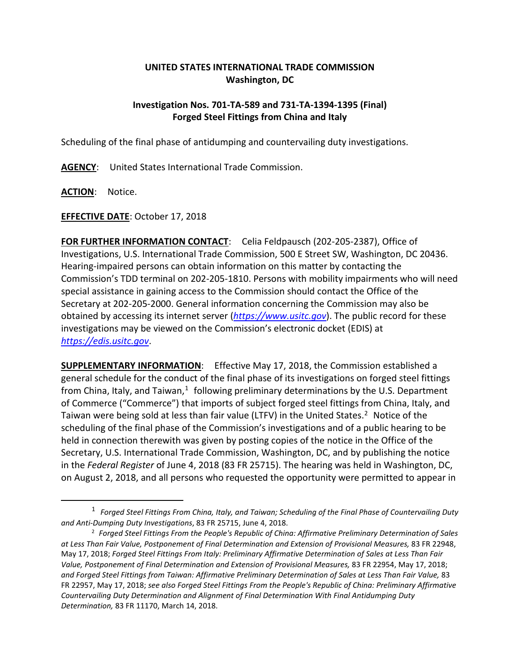## **UNITED STATES INTERNATIONAL TRADE COMMISSION Washington, DC**

## **Investigation Nos. 701-TA-589 and 731-TA-1394-1395 (Final) Forged Steel Fittings from China and Italy**

Scheduling of the final phase of antidumping and countervailing duty investigations.

**AGENCY**: United States International Trade Commission.

**ACTION**: Notice.

 $\overline{a}$ 

**EFFECTIVE DATE**: October 17, 2018

**FOR FURTHER INFORMATION CONTACT**: Celia Feldpausch (202-205-2387), Office of Investigations, U.S. International Trade Commission, 500 E Street SW, Washington, DC 20436. Hearing-impaired persons can obtain information on this matter by contacting the Commission's TDD terminal on 202-205-1810. Persons with mobility impairments who will need special assistance in gaining access to the Commission should contact the Office of the Secretary at 202-205-2000. General information concerning the Commission may also be obtained by accessing its internet server (*[https://www.usitc.gov](https://www.usitc.gov/)*). The public record for these investigations may be viewed on the Commission's electronic docket (EDIS) at *[https://edis.usitc.gov](https://edis.usitc.gov/)*.

**SUPPLEMENTARY INFORMATION**: Effective May 17, 2018, the Commission established a general schedule for the conduct of the final phase of its investigations on forged steel fittings from China, Italy, and Taiwan, $<sup>1</sup>$  $<sup>1</sup>$  $<sup>1</sup>$  following preliminary determinations by the U.S. Department</sup> of Commerce ("Commerce") that imports of subject forged steel fittings from China, Italy, and Taiwan were being sold at less than fair value (LTFV) in the United States. [2](#page-0-1) Notice of the scheduling of the final phase of the Commission's investigations and of a public hearing to be held in connection therewith was given by posting copies of the notice in the Office of the Secretary, U.S. International Trade Commission, Washington, DC, and by publishing the notice in the *Federal Register* of June 4, 2018 (83 FR 25715). The hearing was held in Washington, DC, on August 2, 2018, and all persons who requested the opportunity were permitted to appear in

<span id="page-0-0"></span><sup>1</sup> *Forged Steel Fittings From China, Italy, and Taiwan; Scheduling of the Final Phase of Countervailing Duty and Anti-Dumping Duty Investigations*, 83 FR 25715, June 4, 2018.

<span id="page-0-1"></span><sup>2</sup> *Forged Steel Fittings From the People's Republic of China: Affirmative Preliminary Determination of Sales at Less Than Fair Value, Postponement of Final Determination and Extension of Provisional Measures,* 83 FR 22948, May 17, 2018; *Forged Steel Fittings From Italy: Preliminary Affirmative Determination of Sales at Less Than Fair Value, Postponement of Final Determination and Extension of Provisional Measures,* 83 FR 22954, May 17, 2018; *and Forged Steel Fittings from Taiwan: Affirmative Preliminary Determination of Sales at Less Than Fair Value,* 83 FR 22957, May 17, 2018; *see also Forged Steel Fittings From the People's Republic of China: Preliminary Affirmative Countervailing Duty Determination and Alignment of Final Determination With Final Antidumping Duty Determination,* 83 FR 11170, March 14, 2018.